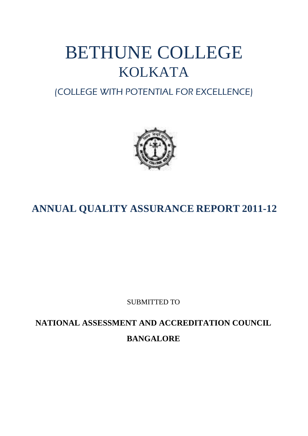# BETHUNE COLLEGE KOLKATA

(COLLEGE WITH POTENTIAL FOR EXCELLENCE)



# **ANNUAL QUALITY ASSURANCE REPORT 2011-12**

SUBMITTED TO

**NATIONAL ASSESSMENT AND ACCREDITATION COUNCIL BANGALORE**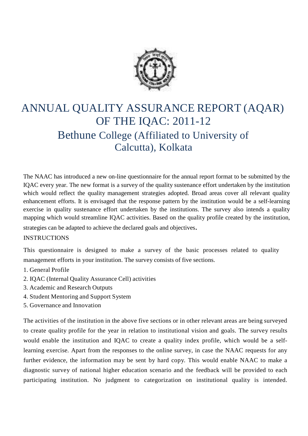

# ANNUAL QUALITY ASSURANCE REPORT (AQAR) OF THE IQAC: 2011-12 Bethune College (Affiliated to University of Calcutta), Kolkata

The NAAC has introduced a new on-line questionnaire for the annual report format to be submitted by the IQAC every year. The new format is a survey of the quality sustenance effort undertaken by the institution which would reflect the quality management strategies adopted. Broad areas cover all relevant quality enhancement efforts. It is envisaged that the response pattern by the institution would be a self-learning exercise in quality sustenance effort undertaken by the institutions. The survey also intends a quality mapping which would streamline IQAC activities. Based on the quality profile created by the institution,

strategies can be adapted to achieve the declared goals and objectives.

#### INSTRUCTIONS

This questionnaire is designed to make a survey of the basic processes related to quality management efforts in your institution. The survey consists of five sections.

- 1. General Profile
- 2. IQAC (Internal Quality Assurance Cell) activities
- 3. Academic and Research Outputs
- 4. Student Mentoring and Support System
- 5. Governance and Innovation

The activities of the institution in the above five sections or in other relevant areas are being surveyed to create quality profile for the year in relation to institutional vision and goals. The survey results would enable the institution and IQAC to create a quality index profile, which would be a selflearning exercise. Apart from the responses to the online survey, in case the NAAC requests for any further evidence, the information may be sent by hard copy*.* This would enable NAAC to make a diagnostic survey of national higher education scenario and the feedback will be provided to each participating institution. No judgment to categorization on institutional quality is intended.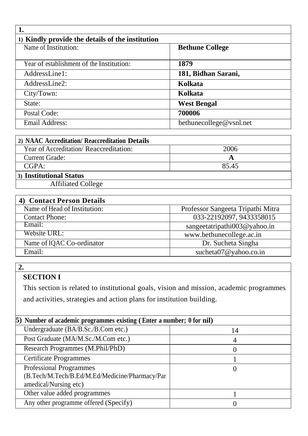| 1) Kindly provide the details of the institution |                         |  |
|--------------------------------------------------|-------------------------|--|
| Name of Institution:                             | <b>Bethune College</b>  |  |
|                                                  |                         |  |
| Year of establishment of the Institution:        | 1879                    |  |
| AddressLine1:                                    | 181, Bidhan Sarani,     |  |
| AddressLine2:                                    | Kolkata                 |  |
| City/Town:                                       | Kolkata                 |  |
| State:                                           | <b>West Bengal</b>      |  |
| Postal Code:                                     | 700006                  |  |
| <b>Email Address:</b>                            | bethunecollege@vsnl.net |  |

| 2) NAAC Accreditation/ Reaccreditation Details |       |
|------------------------------------------------|-------|
| Year of Accreditation/Reaccreditation:         | 2006  |
| <b>Current Grade:</b>                          |       |
| CGPA:                                          | 85.45 |
| 3) Institutional Status                        |       |
| <b>Affiliated College</b>                      |       |

| <b>Contact Person Details</b> |                                   |
|-------------------------------|-----------------------------------|
| Name of Head of Institution:  | Professor Sangeeta Tripathi Mitra |
| <b>Contact Phone:</b>         | 033-22192097, 9433358015          |
| Email:                        | sangeetatripathi003@yahoo.in      |
| Website URL:                  | www.bethunecollege.ac.in          |
| Name of IQAC Co-ordinator     | Dr. Sucheta Singha                |
| Email:                        | sucheta $07@$ yahoo.co.in         |

## **SECTION I**

This section is related to institutional goals, vision and mission, academic programmes and activities, strategies and action plans for institution building.

| 5) Number of academic programmes existing (Enter a number; 0 for nil)                                     |    |
|-----------------------------------------------------------------------------------------------------------|----|
| Undergraduate (BA/B.Sc./B.Com etc.)                                                                       | 14 |
| Post Graduate (MA/M.Sc./M.Com etc.)                                                                       |    |
| Research Programmes (M.Phil/PhD)                                                                          |    |
| <b>Certificate Programmes</b>                                                                             |    |
| <b>Professional Programmes</b><br>(B.Tech/M.Tech/B.Ed/M.Ed/Medicine/Pharmacy/Par<br>amedical/Nursing etc) |    |
| Other value added programmes                                                                              |    |
| Any other programme offered (Specify)                                                                     |    |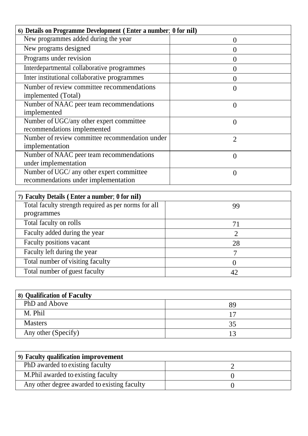| 6) Details on Programme Development (Enter a number; 0 for nil) |                |  |
|-----------------------------------------------------------------|----------------|--|
| New programmes added during the year                            | 0              |  |
| New programs designed                                           | ( )            |  |
| Programs under revision                                         | 0              |  |
| Interdepartmental collaborative programmes                      | 0              |  |
| Inter institutional collaborative programmes                    |                |  |
| Number of review committee recommendations                      | 0              |  |
| implemented (Total)                                             |                |  |
| Number of NAAC peer team recommendations                        | $\overline{0}$ |  |
| implemented                                                     |                |  |
| Number of UGC/any other expert committee                        | $\theta$       |  |
| recommendations implemented                                     |                |  |
| Number of review committee recommendation under                 | $\overline{2}$ |  |
| implementation                                                  |                |  |
| Number of NAAC peer team recommendations                        | 0              |  |
| under implementation                                            |                |  |
| Number of UGC/ any other expert committee                       | 0              |  |
| recommendations under implementation                            |                |  |

| 7) Faculty Details (Enter a number; 0 for nil)       |    |
|------------------------------------------------------|----|
| Total faculty strength required as per norms for all | 99 |
| programmes                                           |    |
| Total faculty on rolls                               |    |
| Faculty added during the year                        |    |
| Faculty positions vacant                             | 28 |
| Faculty left during the year                         |    |
| Total number of visiting faculty                     |    |
| Total number of guest faculty                        |    |

| 8) Qualification of Faculty |    |  |
|-----------------------------|----|--|
| PhD and Above               | Χd |  |
| M. Phil                     |    |  |
| <b>Masters</b>              | 35 |  |
| Any other (Specify)         |    |  |

| 9) Faculty qualification improvement         |  |  |
|----------------------------------------------|--|--|
| PhD awarded to existing faculty              |  |  |
| M. Phil awarded to existing faculty          |  |  |
| Any other degree awarded to existing faculty |  |  |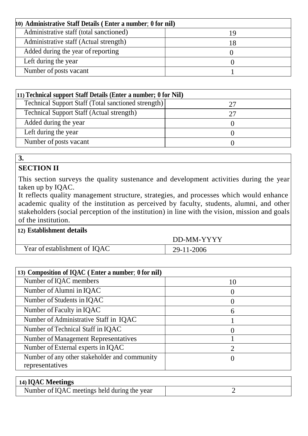| 10) Administrative Staff Details (Enter a number; 0 for nil) |  |  |
|--------------------------------------------------------------|--|--|
| Administrative staff (total sanctioned)                      |  |  |
| Administrative staff (Actual strength)                       |  |  |
| Added during the year of reporting                           |  |  |
| Left during the year                                         |  |  |
| Number of posts vacant                                       |  |  |

| (11) Technical support Staff Details (Enter a number; 0 for Nil) |  |  |
|------------------------------------------------------------------|--|--|
| Technical Support Staff (Total sanctioned strength)              |  |  |
| <b>Technical Support Staff (Actual strength)</b>                 |  |  |
| Added during the year                                            |  |  |
| Left during the year                                             |  |  |
| Number of posts vacant                                           |  |  |

#### **SECTION II**

This section surveys the quality sustenance and development activities during the year taken up by IQAC.

It reflects quality management structure, strategies, and processes which would enhance academic quality of the institution as perceived by faculty, students, alumni, and other stakeholders (social perception of the institution) in line with the vision, mission and goals of the institution.

|  | 12) Establishment details |  |
|--|---------------------------|--|
|--|---------------------------|--|

Year of establishment of IQAC 29-11-2006

DD-MM-YYYY

| 13) Composition of IQAC (Enter a number; 0 for nil) |    |
|-----------------------------------------------------|----|
| Number of IQAC members                              | 10 |
| Number of Alumni in IQAC                            |    |
| Number of Students in IQAC                          |    |
| Number of Faculty in IQAC                           | 6  |
| Number of Administrative Staff in IQAC              |    |
| Number of Technical Staff in IQAC                   |    |
| <b>Number of Management Representatives</b>         |    |
| Number of External experts in IQAC                  |    |
| Number of any other stakeholder and community       |    |
| representatives                                     |    |

| 14) IQAC Meetings                            |  |
|----------------------------------------------|--|
| Number of IQAC meetings held during the year |  |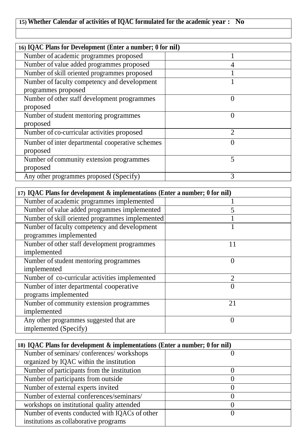# **15) Whether Calendar of activities of IQAC formulated for the academic year : No**

| 16) IQAC Plans for Development (Enter a number; 0 for nil) |                  |
|------------------------------------------------------------|------------------|
| Number of academic programmes proposed                     |                  |
| Number of value added programmes proposed                  |                  |
| Number of skill oriented programmes proposed               |                  |
| Number of faculty competency and development               |                  |
| programmes proposed                                        |                  |
| Number of other staff development programmes               | $\left( \right)$ |
| proposed                                                   |                  |
| Number of student mentoring programmes                     |                  |
| proposed                                                   |                  |
| Number of co-curricular activities proposed                | $\mathcal{D}$    |
| Number of inter departmental cooperative schemes           |                  |
| proposed                                                   |                  |
| Number of community extension programmes                   | 5                |
| proposed                                                   |                  |
| Any other programmes proposed (Specify)                    | 3                |

| 17) IQAC Plans for development & implementations (Enter a number; 0 for nil) |                |
|------------------------------------------------------------------------------|----------------|
| Number of academic programmes implemented                                    |                |
| Number of value added programmes implemented                                 |                |
| Number of skill oriented programmes implemented                              |                |
| Number of faculty competency and development                                 |                |
| programmes implemented                                                       |                |
| Number of other staff development programmes                                 | 11             |
| implemented                                                                  |                |
| Number of student mentoring programmes                                       |                |
| implemented                                                                  |                |
| Number of co-curricular activities implemented                               | $\overline{2}$ |
| Number of inter departmental cooperative                                     |                |
| programs implemented                                                         |                |
| Number of community extension programmes                                     | 21             |
| implemented                                                                  |                |
| Any other programmes suggested that are                                      | $\Omega$       |
| implemented (Specify)                                                        |                |

| 18) IQAC Plans for development & implementations (Enter a number; 0 for nil) |  |
|------------------------------------------------------------------------------|--|
| Number of seminars/conferences/workshops                                     |  |
| organized by IQAC within the institution                                     |  |
| Number of participants from the institution                                  |  |
| Number of participants from outside                                          |  |
| Number of external experts invited                                           |  |
| Number of external conferences/seminars/                                     |  |
| workshops on institutional quality attended                                  |  |
| Number of events conducted with IQACs of other                               |  |
| institutions as collaborative programs                                       |  |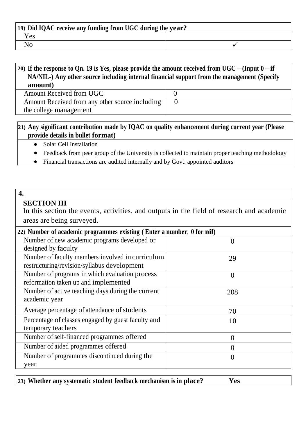| 19) Did IQAC receive any funding from UGC during the year? |  |
|------------------------------------------------------------|--|
| Y es                                                       |  |
|                                                            |  |

#### 20) If the response to Qn. 19 is Yes, please provide the amount received from UGC – (Input  $0$  – if **NA/NIL-) Any other source including internal financial support from the management (Specify amount)**

Amount Received from UGC 0 Amount Received from any other source including the college management

**21) Any significant contribution made by IQAC on quality enhancement during current year (Please provide details in bullet format)**

- Solar Cell Installation
- $\bullet$ Feedback from peer group of the University is collected to maintain proper teaching methodology

0

Financial transactions are audited internally and by Govt. appointed auditors

#### **4.**

#### **SECTION III**

In this section the events, activities, and outputs in the field of research and academic areas are being surveyed.

| 22) Number of academic programmes existing (Enter a number; 0 for nil) |                  |
|------------------------------------------------------------------------|------------------|
| Number of new academic programs developed or                           | $\theta$         |
| designed by faculty                                                    |                  |
| Number of faculty members involved in curriculum                       | 29               |
| restructuring/revision/syllabus development                            |                  |
| Number of programs in which evaluation process                         | $\theta$         |
| reformation taken up and implemented                                   |                  |
| Number of active teaching days during the current                      | 208              |
| academic year                                                          |                  |
| Average percentage of attendance of students                           | 70               |
| Percentage of classes engaged by guest faculty and                     | 10               |
| temporary teachers                                                     |                  |
| Number of self-financed programmes offered                             | $\theta$         |
| Number of aided programmes offered                                     | $\left( \right)$ |
| Number of programmes discontinued during the                           | $\theta$         |
| year                                                                   |                  |

| 23) Whether any systematic student feedback mechanism is in place? | Yes |
|--------------------------------------------------------------------|-----|
|--------------------------------------------------------------------|-----|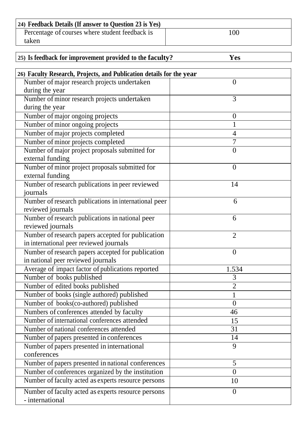| 24) Feedback Details (If answer to Question 23 is Yes) |     |
|--------------------------------------------------------|-----|
| Percentage of courses where student feedback is        | 100 |
| taken                                                  |     |

| 25) Is feedback for improvement provided to the faculty?             | <b>Yes</b>     |
|----------------------------------------------------------------------|----------------|
| 26) Faculty Research, Projects, and Publication details for the year |                |
| Number of major research projects undertaken                         | $\theta$       |
| during the year                                                      |                |
| Number of minor research projects undertaken                         | 3              |
| during the year                                                      |                |
| Number of major ongoing projects                                     | $\theta$       |
| Number of minor ongoing projects                                     |                |
| Number of major projects completed                                   | $\overline{4}$ |
| Number of minor projects completed                                   | $\overline{7}$ |
| Number of major project proposals submitted for                      | $\overline{0}$ |
| external funding                                                     |                |
| Number of minor project proposals submitted for                      | $\overline{0}$ |
| external funding                                                     |                |
| Number of research publications in peer reviewed                     | 14             |
| journals                                                             |                |
| Number of research publications in international peer                | 6              |
| reviewed journals                                                    |                |
| Number of research publications in national peer                     | 6              |
| reviewed journals                                                    |                |
| Number of research papers accepted for publication                   | $\overline{2}$ |
| in international peer reviewed journals                              |                |
| Number of research papers accepted for publication                   | $\theta$       |
| in national peer reviewed journals                                   |                |
| Average of impact factor of publications reported                    | 1.534          |
| Number of books published                                            | 3              |
| Number of edited books published                                     | 2              |
| Number of books (single authored) published                          |                |
| Number of books(co-authored) published                               | $\overline{0}$ |
| Numbers of conferences attended by faculty                           | 46             |
| Number of international conferences attended                         | 15             |
| Number of national conferences attended                              | 31             |
| Number of papers presented in conferences                            | 14             |
| Number of papers presented in international                          | 9              |
| conferences                                                          |                |

Number of papers presented in national conferences 5 Number of conferences organized by the institution and  $\vert$  and  $\vert$  and  $\vert$  and  $\vert$  and  $\vert$  and  $\vert$  and  $\vert$  and  $\vert$  and  $\vert$  and  $\vert$  and  $\vert$  and  $\vert$  and  $\vert$  and  $\vert$  and  $\vert$  and  $\vert$  and  $\vert$  and  $\vert$  and  $\vert$  Number of faculty acted as experts resource persons | 10

0

Number offaculty acted as experts resource persons

- international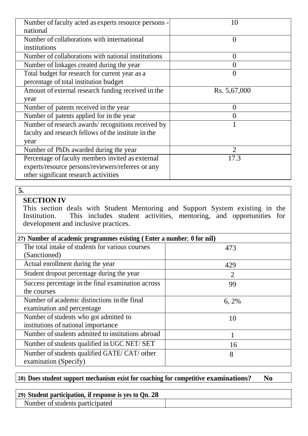| Number of faculty acted as experts resource persons - | 10             |
|-------------------------------------------------------|----------------|
| national                                              |                |
| Number of collaborations with international           | $\theta$       |
| institutions                                          |                |
| Number of collaborations with national institutions   | $\theta$       |
| Number of linkages created during the year            |                |
| Total budget for research for current year as a       |                |
| percentage of total institution budget                |                |
| Amount of external research funding received in the   | Rs. 5,67,000   |
| year                                                  |                |
| Number of patents received in the year                | 0              |
| Number of patents applied for in the year             |                |
| Number of research awards/recognitions received by    |                |
| faculty and research fellows of the institute in the  |                |
| year                                                  |                |
| Number of PhDs awarded during the year                | $\overline{2}$ |
| Percentage of faculty members invited as external     | 17.3           |
| experts/resource persons/reviewers/referees or any    |                |
| other significant research activities                 |                |

#### **SECTION IV**

This section deals with Student Mentoring and Support System existing in the Institution. This includes student activities, mentoring, and opportunities for development and inclusive practices.

| 27) Number of academic programmes existing (Enter a number; 0 for nil) |                |
|------------------------------------------------------------------------|----------------|
| The total intake of students for various courses                       | 473            |
| (Sanctioned)                                                           |                |
| Actual enrollment during the year                                      | 429            |
| Student dropout percentage during the year                             | $\overline{2}$ |
| Success percentage in the final examination across                     | 99             |
| the courses                                                            |                |
| Number of academic distinctions in the final                           | 6, 2%          |
| examination and percentage                                             |                |
| Number of students who got admitted to                                 | 10             |
| institutions of national importance                                    |                |
| Number of students admitted to institutions abroad                     |                |
| Number of students qualified in UGC NET/SET                            | 16             |
| Number of students qualified GATE/ CAT/ other                          | 8              |
| examination (Specify)                                                  |                |

# **28) Does student support mechanism exist for coaching for competitive examinations? No**

| 29) Student participation, if response is ves to On. 28 |  |
|---------------------------------------------------------|--|
| Number of students participated                         |  |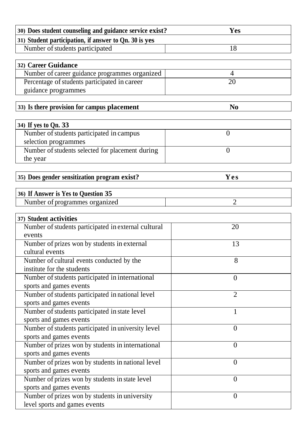| 30) Does student counseling and guidance service exist?         | <b>Yes</b>     |  |
|-----------------------------------------------------------------|----------------|--|
| 31) Student participation, if answer to Qn. 30 is yes           |                |  |
| Number of students participated                                 | 18             |  |
|                                                                 |                |  |
| 32) Career Guidance                                             |                |  |
| Number of career guidance programmes organized                  | 4              |  |
| Percentage of students participated in career                   | 20             |  |
| guidance programmes                                             |                |  |
|                                                                 |                |  |
| 33) Is there provision for campus placement                     | N <sub>0</sub> |  |
|                                                                 |                |  |
| 34) If yes to Qn. 33                                            |                |  |
| Number of students participated in campus                       | $\overline{0}$ |  |
| selection programmes                                            |                |  |
| Number of students selected for placement during                | $\overline{0}$ |  |
| the year                                                        |                |  |
|                                                                 |                |  |
| 35) Does gender sensitization program exist?                    | Yes            |  |
|                                                                 |                |  |
| 36) If Answer is Yes to Question 35                             |                |  |
| Number of programmes organized                                  | $\overline{2}$ |  |
|                                                                 |                |  |
| 37) Student activities                                          |                |  |
| Number of students participated in external cultural            | 20             |  |
| events                                                          |                |  |
| Number of prizes won by students in external<br>cultural events | 13             |  |
| Number of cultural events conducted by the                      | $\Omega$       |  |
| institute for the students                                      | ð              |  |
| Number of students participated in international                |                |  |
| sports and games events                                         | $\overline{0}$ |  |
| Number of students participated in national level               |                |  |
| sports and games events                                         | $\overline{2}$ |  |
| Number of students participated in state level                  | 1              |  |
| sports and games events                                         |                |  |
| Number of students participated in university level             | $\overline{0}$ |  |
| sports and games events                                         |                |  |
| Number of prizes won by students in international               | $\overline{0}$ |  |
| sports and games events                                         |                |  |
| Number of prizes won by students in national level              | $\overline{0}$ |  |
| sports and games events                                         |                |  |
| Number of prizes won by students in state level                 | $\overline{0}$ |  |
| sports and games events                                         |                |  |
| Number of prizes won by students in university                  | $\overline{0}$ |  |
| level sports and games events                                   |                |  |
|                                                                 |                |  |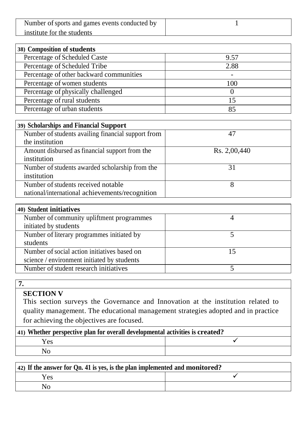| Number of sports and games events conducted by |  |
|------------------------------------------------|--|
| institute for the students                     |  |

| 38) Composition of students              |      |  |  |
|------------------------------------------|------|--|--|
| Percentage of Scheduled Caste            | 9.57 |  |  |
| Percentage of Scheduled Tribe            | 2.88 |  |  |
| Percentage of other backward communities |      |  |  |
| Percentage of women students             | 100  |  |  |
| Percentage of physically challenged      |      |  |  |
| Percentage of rural students             | 15   |  |  |
| Percentage of urban students             | 85   |  |  |

| 39) Scholarships and Financial Support             |              |
|----------------------------------------------------|--------------|
| Number of students availing financial support from | 47           |
| the institution                                    |              |
| Amount disbursed as financial support from the     | Rs. 2,00,440 |
| institution                                        |              |
| Number of students awarded scholarship from the    | 31           |
| institution                                        |              |
| Number of students received notable                | x            |
| national/international achievements/recognition    |              |

#### **SECTION V**

This section surveys the Governance and Innovation at the institution related to quality management. The educational management strategies adopted and in practice for achieving the objectives are focused.

| [41] Whether perspective plan for overall developmental activities is created? |  |  |
|--------------------------------------------------------------------------------|--|--|
| Yes                                                                            |  |  |
|                                                                                |  |  |

| $\vert$ 42) If the answer for Qn. 41 is yes, is the plan implemented and monitored? |  |  |
|-------------------------------------------------------------------------------------|--|--|
| Yes                                                                                 |  |  |
| No                                                                                  |  |  |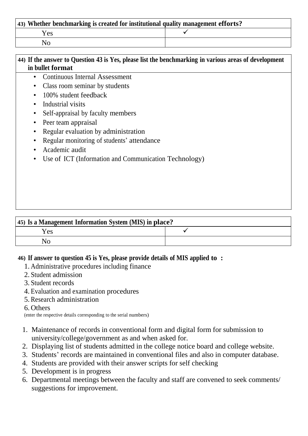| $\vert$ 43) Whether benchmarking is created for institutional quality management efforts? |  |  |
|-------------------------------------------------------------------------------------------|--|--|
| Yes                                                                                       |  |  |
|                                                                                           |  |  |

| 44) If the answer to Question 43 is Yes, please list the benchmarking in various areas of development |                                                       |  |
|-------------------------------------------------------------------------------------------------------|-------------------------------------------------------|--|
|                                                                                                       | in bullet format                                      |  |
| $\bullet$                                                                                             | <b>Continuous Internal Assessment</b>                 |  |
|                                                                                                       | Class room seminar by students                        |  |
| $\bullet$                                                                                             | 100% student feedback                                 |  |
| $\bullet$                                                                                             | Industrial visits                                     |  |
|                                                                                                       | Self-appraisal by faculty members                     |  |
| $\bullet$                                                                                             | Peer team appraisal                                   |  |
|                                                                                                       | Regular evaluation by administration                  |  |
| $\bullet$                                                                                             | Regular monitoring of students' attendance            |  |
| $\bullet$                                                                                             | Academic audit                                        |  |
| $\bullet$                                                                                             | Use of ICT (Information and Communication Technology) |  |
|                                                                                                       |                                                       |  |
|                                                                                                       |                                                       |  |
|                                                                                                       |                                                       |  |
|                                                                                                       |                                                       |  |

| 45) Is a Management Information System (MIS) in place? |  |  |
|--------------------------------------------------------|--|--|
| Yes                                                    |  |  |
| No                                                     |  |  |

#### **46) If answer to question 45 is Yes, please provide details of MIS applied to :**

- 1. Administrative procedures including finance
- 2. Student admission
- 3. Student records
- 4. Evaluation and examination procedures
- 5. Research administration

#### 6. Others

(enter the respective details corresponding to the serial numbers)

- 1. Maintenance of records in conventional form and digital form for submission to university/college/government as and when asked for.
- 2. Displaying list of students admitted in the college notice board and college website.
- 3. Students' records are maintained in conventional files and also in computer database.
- 4. Students are provided with their answer scripts for self checking
- 5. Development is in progress
- 6. Departmental meetings between the faculty and staff are convened to seek comments/ suggestions for improvement.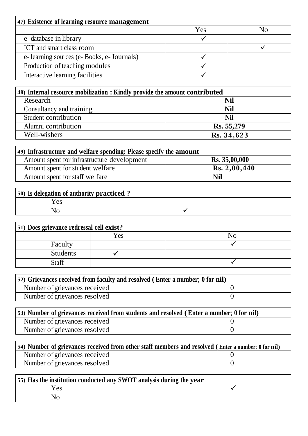| 47) Existence of learning resource management |     |  |
|-----------------------------------------------|-----|--|
|                                               | Yes |  |
| e-database in library                         |     |  |
| ICT and smart class room                      |     |  |
| e-learning sources (e-Books, e-Journals)      |     |  |
| Production of teaching modules                |     |  |
| Interactive learning facilities               |     |  |

| 48) Internal resource mobilization : Kindly provide the amount contributed |            |  |
|----------------------------------------------------------------------------|------------|--|
| Research                                                                   | <b>Nil</b> |  |
| Consultancy and training                                                   | Nil        |  |
| Student contribution                                                       | Nil        |  |
| Alumni contribution                                                        | Rs. 55,279 |  |
| Well-wishers                                                               | Rs. 34,623 |  |

| 49) Infrastructure and welfare spending: Please specify the amount |               |  |
|--------------------------------------------------------------------|---------------|--|
| Amount spent for infrastructure development                        | Rs. 35,00,000 |  |
| Amount spent for student welfare                                   | Rs. 2,00,440  |  |
| Amount spent for staff welfare                                     | <b>Nil</b>    |  |

| 50) Is delegation of authority practiced? |  |
|-------------------------------------------|--|
| <b>Yes</b>                                |  |
|                                           |  |

| 51) Does grievance redressal cell exist? |     |  |
|------------------------------------------|-----|--|
|                                          | Yes |  |
| Faculty                                  |     |  |
| <b>Students</b>                          |     |  |
| <b>Staff</b>                             |     |  |

| [52] Grievances received from faculty and resolved (Enter a number; 0 for nil) |  |  |
|--------------------------------------------------------------------------------|--|--|
| Number of grievances received                                                  |  |  |
| Number of grievances resolved                                                  |  |  |

| (53) Number of grievances received from students and resolved (Enter a number; 0 for nil) |  |  |
|-------------------------------------------------------------------------------------------|--|--|
| Number of grievances received                                                             |  |  |
| Number of grievances resolved                                                             |  |  |

| 54) Number of grievances received from other staff members and resolved (Enter a number; 0 for nil) |  |  |
|-----------------------------------------------------------------------------------------------------|--|--|
| Number of grievances received                                                                       |  |  |
| Number of grievances resolved                                                                       |  |  |

| 55) Has the institution conducted any SWOT analysis during the year |  |  |
|---------------------------------------------------------------------|--|--|
| Yes                                                                 |  |  |
| No                                                                  |  |  |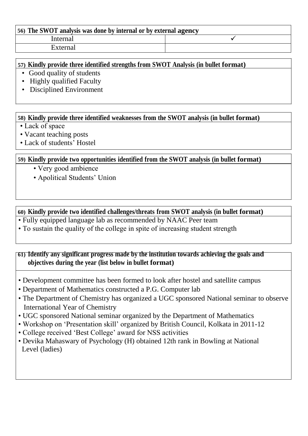#### **56) The SWOT analysis was done by internal or by external agency** Internal  $\checkmark$ External

#### **57) Kindly provide three identified strengths from SWOT Analysis (in bullet format)**

- Good quality of students
- Highly qualified Faculty
- Disciplined Environment

**58) Kindly provide three identified weaknesses from the SWOT analysis (in bullet format)**

- Lack of space
- Vacant teaching posts
- Lack of students' Hostel

#### **59) Kindly provide two opportunities identified from the SWOT analysis (in bullet format)**

- Very good ambience
- Apolitical Students' Union

**60) Kindly provide two identified challenges/threats from SWOT analysis (in bullet format)**

- Fully equipped language lab as recommended by NAAC Peer team
- To sustain the quality of the college in spite of increasing student strength

#### **61) Identify any significant progress made by the institution towards achieving the goals and objectives during the year (list below in bullet format)**

- Development committee has been formed to look after hostel and satellite campus
- Department of Mathematics constructed a P.G. Computer lab
- The Department of Chemistry has organized a UGC sponsored National seminar to observe International Year of Chemistry
- UGC sponsored National seminar organized by the Department of Mathematics
- Workshop on 'Presentation skill' organized by British Council, Kolkata in 2011-12
- College received 'Best College' award for NSS activities
- Devika Mahaswary of Psychology (H) obtained 12th rank in Bowling at National Level (ladies)